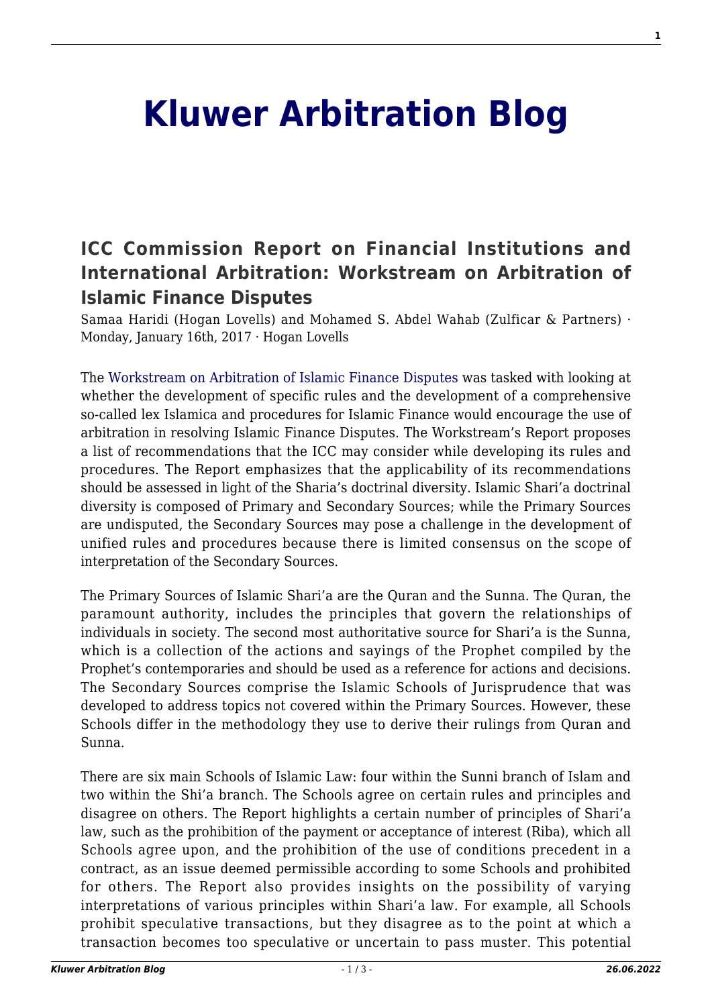## **[Kluwer Arbitration Blog](http://arbitrationblog.kluwerarbitration.com/)**

## **[ICC Commission Report on Financial Institutions and](http://arbitrationblog.kluwerarbitration.com/2017/01/16/icc-commission-report-on-financial-institutions-and-international-arbitration-workstream-on-arbitration-of-islamic-finance-disputes/) [International Arbitration: Workstream on Arbitration of](http://arbitrationblog.kluwerarbitration.com/2017/01/16/icc-commission-report-on-financial-institutions-and-international-arbitration-workstream-on-arbitration-of-islamic-finance-disputes/) [Islamic Finance Disputes](http://arbitrationblog.kluwerarbitration.com/2017/01/16/icc-commission-report-on-financial-institutions-and-international-arbitration-workstream-on-arbitration-of-islamic-finance-disputes/)**

Samaa Haridi (Hogan Lovells) and Mohamed S. Abdel Wahab (Zulficar & Partners) · Monday, January 16th, 2017 · Hogan Lovells

The [Workstream on Arbitration of Islamic Finance Disputes](http://www.iccwbo.org/Advocacy-Codes-and-Rules/Document-centre/2016/Financial-Institutions-and-International-Arbitration-ICC-Arbitration-ADR-Commission-Report/) was tasked with looking at whether the development of specific rules and the development of a comprehensive so-called lex Islamica and procedures for Islamic Finance would encourage the use of arbitration in resolving Islamic Finance Disputes. The Workstream's Report proposes a list of recommendations that the ICC may consider while developing its rules and procedures. The Report emphasizes that the applicability of its recommendations should be assessed in light of the Sharia's doctrinal diversity. Islamic Shari'a doctrinal diversity is composed of Primary and Secondary Sources; while the Primary Sources are undisputed, the Secondary Sources may pose a challenge in the development of unified rules and procedures because there is limited consensus on the scope of interpretation of the Secondary Sources.

The Primary Sources of Islamic Shari'a are the Quran and the Sunna. The Quran, the paramount authority, includes the principles that govern the relationships of individuals in society. The second most authoritative source for Shari'a is the Sunna, which is a collection of the actions and sayings of the Prophet compiled by the Prophet's contemporaries and should be used as a reference for actions and decisions. The Secondary Sources comprise the Islamic Schools of Jurisprudence that was developed to address topics not covered within the Primary Sources. However, these Schools differ in the methodology they use to derive their rulings from Quran and Sunna.

There are six main Schools of Islamic Law: four within the Sunni branch of Islam and two within the Shi'a branch. The Schools agree on certain rules and principles and disagree on others. The Report highlights a certain number of principles of Shari'a law, such as the prohibition of the payment or acceptance of interest (Riba), which all Schools agree upon, and the prohibition of the use of conditions precedent in a contract, as an issue deemed permissible according to some Schools and prohibited for others. The Report also provides insights on the possibility of varying interpretations of various principles within Shari'a law. For example, all Schools prohibit speculative transactions, but they disagree as to the point at which a transaction becomes too speculative or uncertain to pass muster. This potential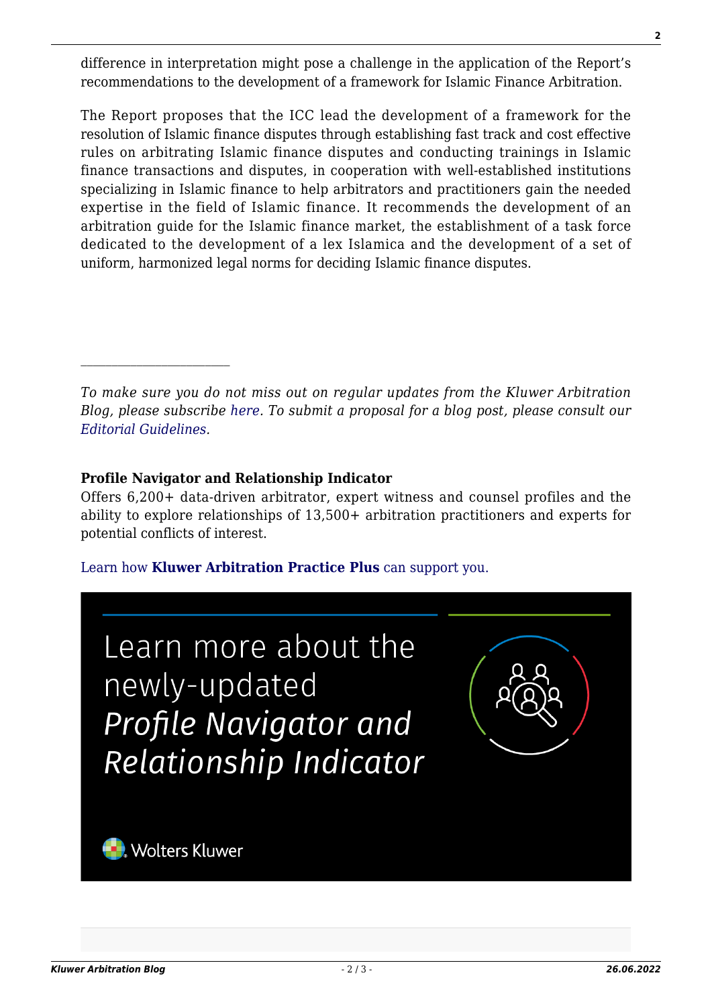difference in interpretation might pose a challenge in the application of the Report's recommendations to the development of a framework for Islamic Finance Arbitration.

The Report proposes that the ICC lead the development of a framework for the resolution of Islamic finance disputes through establishing fast track and cost effective rules on arbitrating Islamic finance disputes and conducting trainings in Islamic finance transactions and disputes, in cooperation with well-established institutions specializing in Islamic finance to help arbitrators and practitioners gain the needed expertise in the field of Islamic finance. It recommends the development of an arbitration guide for the Islamic finance market, the establishment of a task force dedicated to the development of a lex Islamica and the development of a set of uniform, harmonized legal norms for deciding Islamic finance disputes.

*To make sure you do not miss out on regular updates from the Kluwer Arbitration Blog, please subscribe [here](http://arbitrationblog.kluwerarbitration.com/newsletter/). To submit a proposal for a blog post, please consult our [Editorial Guidelines.](http://arbitrationblog.kluwerarbitration.com/editorial-guidelines/)*

## **Profile Navigator and Relationship Indicator**

Offers 6,200+ data-driven arbitrator, expert witness and counsel profiles and the ability to explore relationships of 13,500+ arbitration practitioners and experts for potential conflicts of interest.

## [Learn how](https://www.wolterskluwer.com/en/solutions/kluwerarbitration/practiceplus?utm_source=arbitrationblog&utm_medium=articleCTA&utm_campaign=article-banner) **[Kluwer Arbitration Practice Plus](https://www.wolterskluwer.com/en/solutions/kluwerarbitration/practiceplus?utm_source=arbitrationblog&utm_medium=articleCTA&utm_campaign=article-banner)** [can support you.](https://www.wolterskluwer.com/en/solutions/kluwerarbitration/practiceplus?utm_source=arbitrationblog&utm_medium=articleCTA&utm_campaign=article-banner)